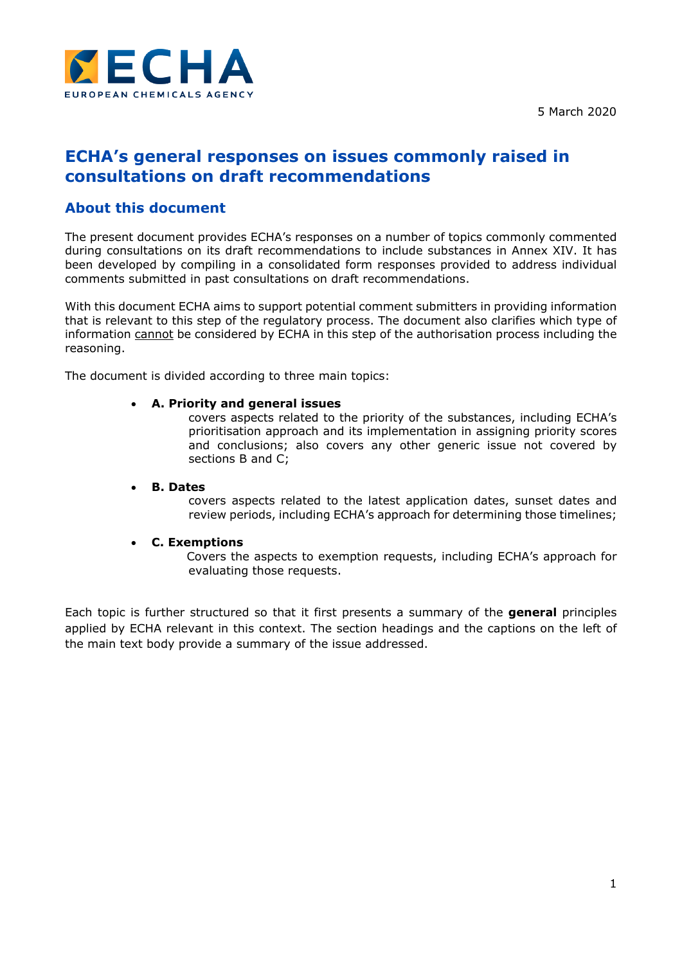

# **ECHA's general responses on issues commonly raised in consultations on draft recommendations**

# **About this document**

The present document provides ECHA's responses on a number of topics commonly commented during consultations on its draft recommendations to include substances in Annex XIV. It has been developed by compiling in a consolidated form responses provided to address individual comments submitted in past consultations on draft recommendations.

With this document ECHA aims to support potential comment submitters in providing information that is relevant to this step of the regulatory process. The document also clarifies which type of information cannot be considered by ECHA in this step of the authorisation process including the reasoning.

The document is divided according to three main topics:

### **A. Priority and general issues**

covers aspects related to the priority of the substances, including ECHA's prioritisation approach and its implementation in assigning priority scores and conclusions; also covers any other generic issue not covered by sections B and C;

### **B. Dates**

covers aspects related to the latest application dates, sunset dates and review periods, including ECHA's approach for determining those timelines;

### **C. Exemptions**

Covers the aspects to exemption requests, including ECHA's approach for evaluating those requests.

Each topic is further structured so that it first presents a summary of the **general** principles applied by ECHA relevant in this context. The section headings and the captions on the left of the main text body provide a summary of the issue addressed.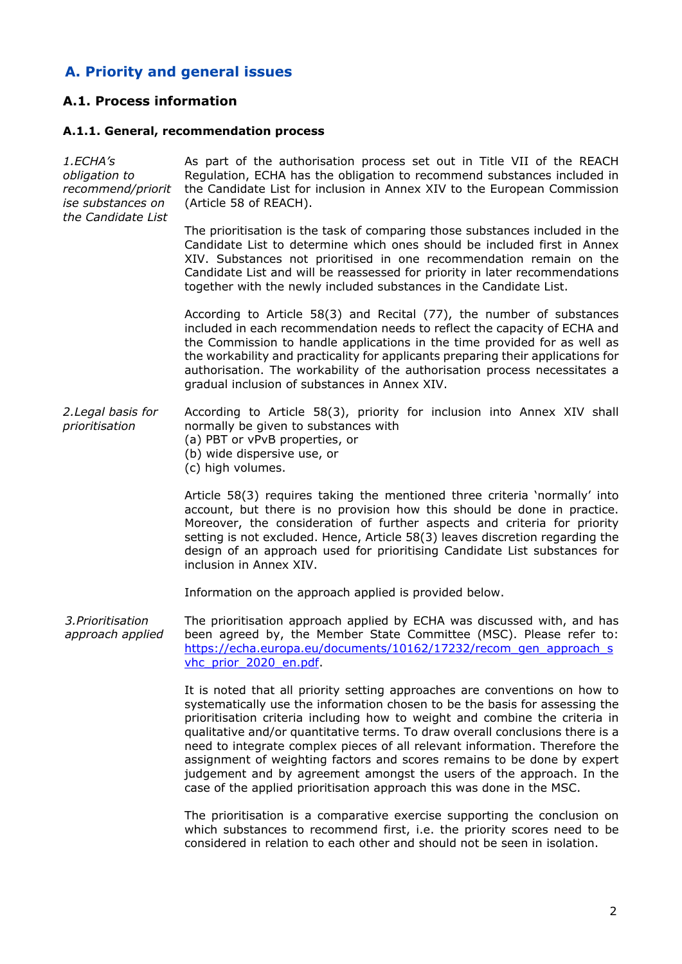# **A. Priority and general issues**

# **A.1. Process information**

### **A.1.1. General, recommendation process**

| 1.ECHA's<br>obligation to<br>recommend/priorit<br>ise substances on<br>the Candidate List | As part of the authorisation process set out in Title VII of the REACH<br>Regulation, ECHA has the obligation to recommend substances included in<br>the Candidate List for inclusion in Annex XIV to the European Commission<br>(Article 58 of REACH).                                                                                                                                                                                                                                                                                                                                                                              |
|-------------------------------------------------------------------------------------------|--------------------------------------------------------------------------------------------------------------------------------------------------------------------------------------------------------------------------------------------------------------------------------------------------------------------------------------------------------------------------------------------------------------------------------------------------------------------------------------------------------------------------------------------------------------------------------------------------------------------------------------|
|                                                                                           | The prioritisation is the task of comparing those substances included in the<br>Candidate List to determine which ones should be included first in Annex<br>XIV. Substances not prioritised in one recommendation remain on the<br>Candidate List and will be reassessed for priority in later recommendations<br>together with the newly included substances in the Candidate List.                                                                                                                                                                                                                                                 |
|                                                                                           | According to Article 58(3) and Recital (77), the number of substances<br>included in each recommendation needs to reflect the capacity of ECHA and<br>the Commission to handle applications in the time provided for as well as<br>the workability and practicality for applicants preparing their applications for<br>authorisation. The workability of the authorisation process necessitates a<br>gradual inclusion of substances in Annex XIV.                                                                                                                                                                                   |
| 2. Legal basis for<br>prioritisation                                                      | According to Article 58(3), priority for inclusion into Annex XIV shall<br>normally be given to substances with<br>(a) PBT or vPvB properties, or<br>(b) wide dispersive use, or<br>(c) high volumes.                                                                                                                                                                                                                                                                                                                                                                                                                                |
|                                                                                           | Article 58(3) requires taking the mentioned three criteria 'normally' into<br>account, but there is no provision how this should be done in practice.<br>Moreover, the consideration of further aspects and criteria for priority<br>setting is not excluded. Hence, Article 58(3) leaves discretion regarding the<br>design of an approach used for prioritising Candidate List substances for<br>inclusion in Annex XIV.                                                                                                                                                                                                           |
|                                                                                           | Information on the approach applied is provided below.                                                                                                                                                                                                                                                                                                                                                                                                                                                                                                                                                                               |
| 3. Prioritisation<br>approach applied                                                     | The prioritisation approach applied by ECHA was discussed with, and has<br>been agreed by, the Member State Committee (MSC). Please refer to:<br>https://echa.europa.eu/documents/10162/17232/recom gen approach s<br>vhc prior 2020 en.pdf                                                                                                                                                                                                                                                                                                                                                                                          |
|                                                                                           | It is noted that all priority setting approaches are conventions on how to<br>systematically use the information chosen to be the basis for assessing the<br>prioritisation criteria including how to weight and combine the criteria in<br>qualitative and/or quantitative terms. To draw overall conclusions there is a<br>need to integrate complex pieces of all relevant information. Therefore the<br>assignment of weighting factors and scores remains to be done by expert<br>judgement and by agreement amongst the users of the approach. In the<br>case of the applied prioritisation approach this was done in the MSC. |
|                                                                                           | The prioritisation is a comparative exercise supporting the conclusion on                                                                                                                                                                                                                                                                                                                                                                                                                                                                                                                                                            |

The prioritisation is a comparative exercise supporting the conclusion on which substances to recommend first, i.e. the priority scores need to be considered in relation to each other and should not be seen in isolation.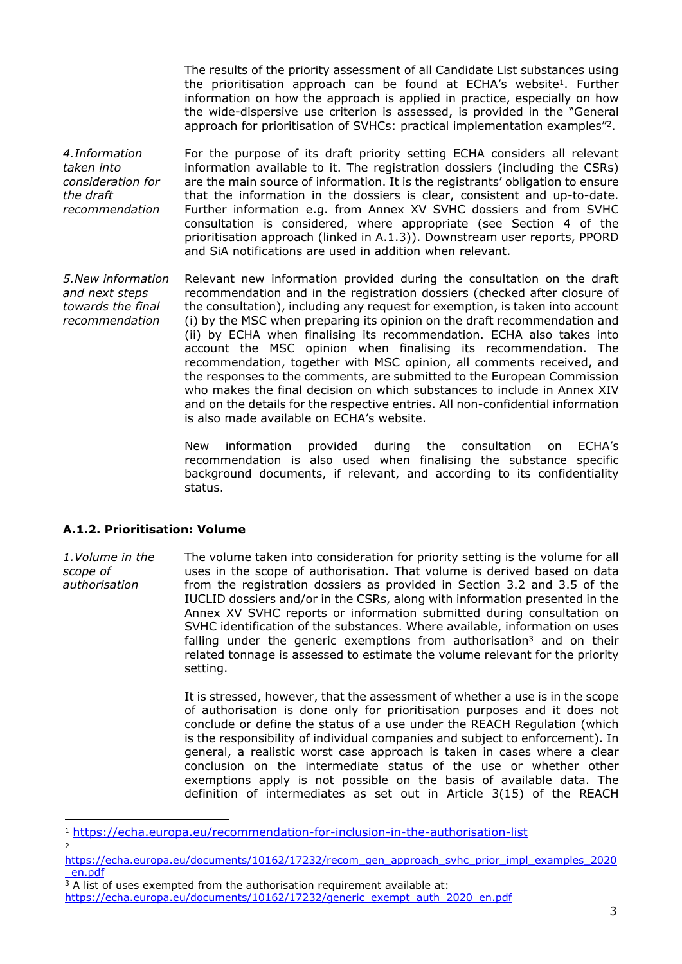The results of the priority assessment of all Candidate List substances using the prioritisation approach can be found at ECHA's website<sup>1</sup>. Further information on how the approach is applied in practice, especially on how the wide-dispersive use criterion is assessed, is provided in the "General approach for prioritisation of SVHCs: practical implementation examples"<sup>2</sup>.

*4.Information taken into consideration for the draft recommendation* For the purpose of its draft priority setting ECHA considers all relevant information available to it. The registration dossiers (including the CSRs) are the main source of information. It is the registrants' obligation to ensure that the information in the dossiers is clear, consistent and up-to-date. Further information e.g. from Annex XV SVHC dossiers and from SVHC consultation is considered, where appropriate (see Section 4 of the prioritisation approach (linked in A.1.3)). Downstream user reports, PPORD and SiA notifications are used in addition when relevant.

*5.New information and next steps towards the final recommendation* Relevant new information provided during the consultation on the draft recommendation and in the registration dossiers (checked after closure of the consultation), including any request for exemption, is taken into account (i) by the MSC when preparing its opinion on the draft recommendation and (ii) by ECHA when finalising its recommendation. ECHA also takes into account the MSC opinion when finalising its recommendation. The recommendation, together with MSC opinion, all comments received, and the responses to the comments, are submitted to the European Commission who makes the final decision on which substances to include in Annex XIV and on the details for the respective entries. All non-confidential information is also made available on ECHA's website.

> New information provided during the consultation on ECHA's recommendation is also used when finalising the substance specific background documents, if relevant, and according to its confidentiality status.

### **A.1.2. Prioritisation: Volume**

*1.Volume in the scope of authorisation* The volume taken into consideration for priority setting is the volume for all uses in the scope of authorisation. That volume is derived based on data from the registration dossiers as provided in Section 3.2 and 3.5 of the IUCLID dossiers and/or in the CSRs, along with information presented in the Annex XV SVHC reports or information submitted during consultation on SVHC identification of the substances. Where available, information on uses falling under the generic exemptions from authorisation<sup>3</sup> and on their related tonnage is assessed to estimate the volume relevant for the priority setting.

> It is stressed, however, that the assessment of whether a use is in the scope of authorisation is done only for prioritisation purposes and it does not conclude or define the status of a use under the REACH Regulation (which is the responsibility of individual companies and subject to enforcement). In general, a realistic worst case approach is taken in cases where a clear conclusion on the intermediate status of the use or whether other exemptions apply is not possible on the basis of available data. The definition of intermediates as set out in Article 3(15) of the REACH

<sup>1</sup> <https://echa.europa.eu/recommendation-for-inclusion-in-the-authorisation-list> 2

[https://echa.europa.eu/documents/10162/17232/recom\\_gen\\_approach\\_svhc\\_prior\\_impl\\_examples\\_2020](https://echa.europa.eu/documents/10162/17232/recom_gen_approach_svhc_prior_impl_examples_2020_en.pdf) [\\_en.pdf](https://echa.europa.eu/documents/10162/17232/recom_gen_approach_svhc_prior_impl_examples_2020_en.pdf)

 $3$  A list of uses exempted from the authorisation requirement available at:

[https://echa.europa.eu/documents/10162/17232/generic\\_exempt\\_auth\\_2020\\_en.pdf](https://echa.europa.eu/documents/10162/17232/generic_exempt_auth_2020_en.pdf)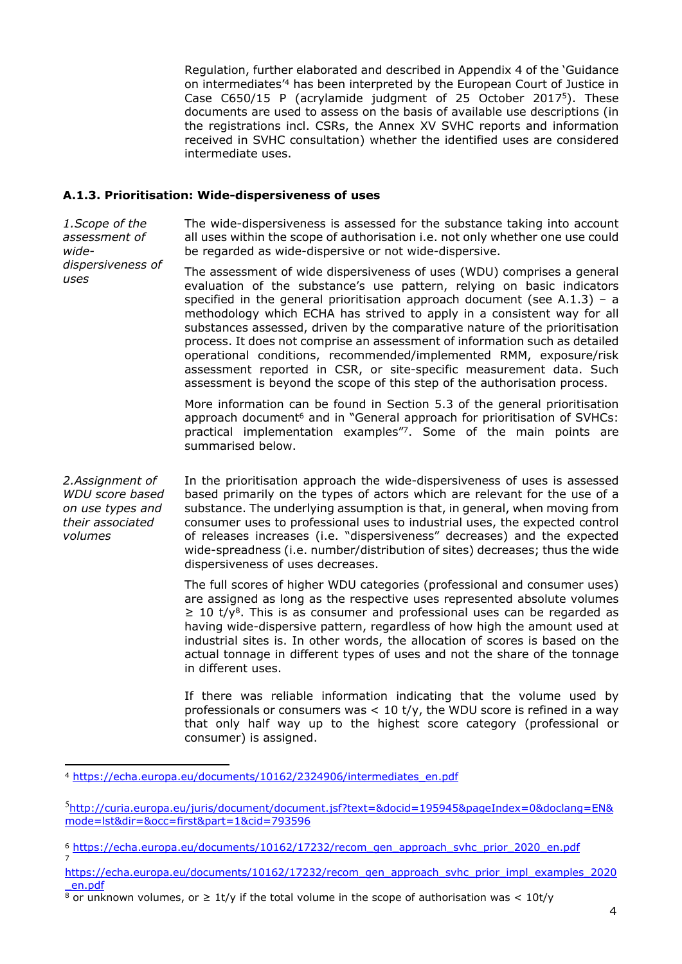Regulation, further elaborated and described in Appendix 4 of the 'Guidance on intermediates'<sup>4</sup> has been interpreted by the European Court of Justice in Case C650/15 P (acrylamide judgment of 25 October 2017<sup>5</sup>). These documents are used to assess on the basis of available use descriptions (in the registrations incl. CSRs, the Annex XV SVHC reports and information received in SVHC consultation) whether the identified uses are considered intermediate uses.

### **A.1.3. Prioritisation: Wide-dispersiveness of uses**

*1.Scope of the assessment of wide-*The wide-dispersiveness is assessed for the substance taking into account all uses within the scope of authorisation i.e. not only whether one use could be regarded as wide-dispersive or not wide-dispersive.

*dispersiveness of uses* The assessment of wide dispersiveness of uses (WDU) comprises a general evaluation of the substance's use pattern, relying on basic indicators specified in the general prioritisation approach document (see A.1.3) – a methodology which ECHA has strived to apply in a consistent way for all substances assessed, driven by the comparative nature of the prioritisation process. It does not comprise an assessment of information such as detailed operational conditions, recommended/implemented RMM, exposure/risk assessment reported in CSR, or site-specific measurement data. Such assessment is beyond the scope of this step of the authorisation process.

> More information can be found in Section 5.3 of the general prioritisation approach document<sup>6</sup> and in "General approach for prioritisation of SVHCs: practical implementation examples"<sup>7</sup>. Some of the main points are summarised below.

*2.Assignment of WDU score based on use types and their associated volumes*

7

In the prioritisation approach the wide-dispersiveness of uses is assessed based primarily on the types of actors which are relevant for the use of a substance. The underlying assumption is that, in general, when moving from consumer uses to professional uses to industrial uses, the expected control of releases increases (i.e. "dispersiveness" decreases) and the expected wide-spreadness (i.e. number/distribution of sites) decreases; thus the wide dispersiveness of uses decreases.

The full scores of higher WDU categories (professional and consumer uses) are assigned as long as the respective uses represented absolute volumes  $\geq$  10 t/y<sup>8</sup>. This is as consumer and professional uses can be regarded as having wide-dispersive pattern, regardless of how high the amount used at industrial sites is. In other words, the allocation of scores is based on the actual tonnage in different types of uses and not the share of the tonnage in different uses.

If there was reliable information indicating that the volume used by professionals or consumers was  $< 10$  t/y, the WDU score is refined in a way that only half way up to the highest score category (professional or consumer) is assigned.

<sup>4</sup> [https://echa.europa.eu/documents/10162/2324906/intermediates\\_en.pdf](https://echa.europa.eu/documents/10162/2324906/intermediates_en.pdf)

<sup>5</sup>[http://curia.europa.eu/juris/document/document.jsf?text=&docid=195945&pageIndex=0&doclang=EN&](http://curia.europa.eu/juris/document/document.jsf?text=&docid=195945&pageIndex=0&doclang=EN&mode=lst&dir=&occ=first&part=1&cid=793596) [mode=lst&dir=&occ=first&part=1&cid=793596](http://curia.europa.eu/juris/document/document.jsf?text=&docid=195945&pageIndex=0&doclang=EN&mode=lst&dir=&occ=first&part=1&cid=793596)

<sup>6</sup> [https://echa.europa.eu/documents/10162/17232/recom\\_gen\\_approach\\_svhc\\_prior\\_2020\\_en.pdf](https://echa.europa.eu/documents/10162/17232/recom_gen_approach_svhc_prior_2020_en.pdf)

[https://echa.europa.eu/documents/10162/17232/recom\\_gen\\_approach\\_svhc\\_prior\\_impl\\_examples\\_2020](https://echa.europa.eu/documents/10162/17232/recom_gen_approach_svhc_prior_impl_examples_2020_en.pdf) [\\_en.pdf](https://echa.europa.eu/documents/10162/17232/recom_gen_approach_svhc_prior_impl_examples_2020_en.pdf)

<sup>8</sup> or unknown volumes, or ≥ 1t/y if the total volume in the scope of authorisation was < 10t/y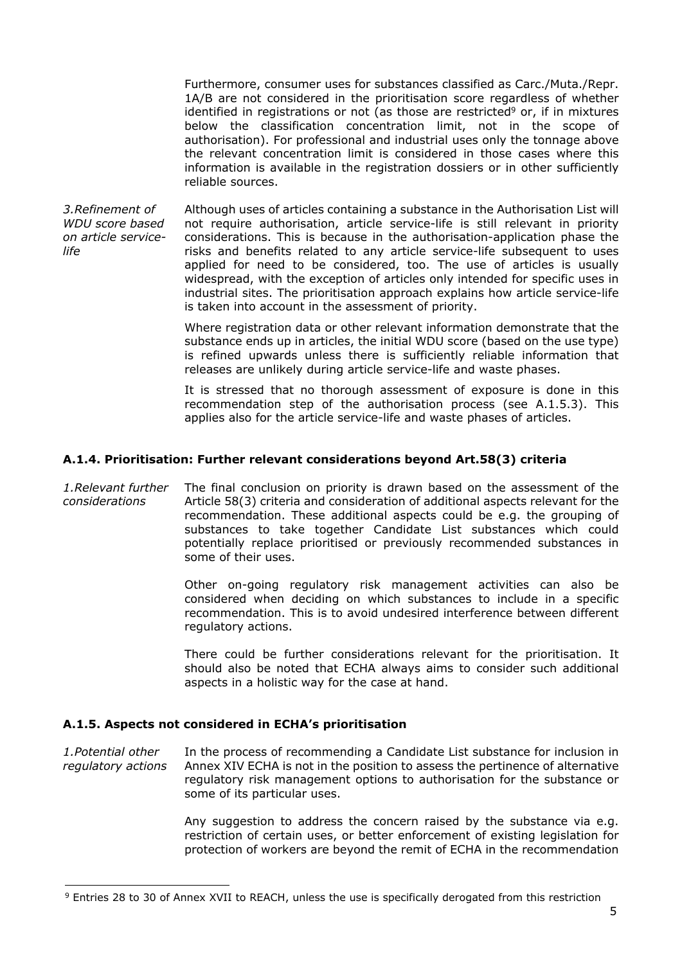Furthermore, consumer uses for substances classified as Carc./Muta./Repr. 1A/B are not considered in the prioritisation score regardless of whether identified in registrations or not (as those are restricted $9$  or, if in mixtures below the classification concentration limit, not in the scope of authorisation). For professional and industrial uses only the tonnage above the relevant concentration limit is considered in those cases where this information is available in the registration dossiers or in other sufficiently reliable sources.

*3.Refinement of WDU score based on article servicelife* Although uses of articles containing a substance in the Authorisation List will not require authorisation, article service-life is still relevant in priority considerations. This is because in the authorisation-application phase the risks and benefits related to any article service-life subsequent to uses applied for need to be considered, too. The use of articles is usually widespread, with the exception of articles only intended for specific uses in industrial sites. The prioritisation approach explains how article service-life is taken into account in the assessment of priority.

> Where registration data or other relevant information demonstrate that the substance ends up in articles, the initial WDU score (based on the use type) is refined upwards unless there is sufficiently reliable information that releases are unlikely during article service-life and waste phases.

> It is stressed that no thorough assessment of exposure is done in this recommendation step of the authorisation process (see A.1.5.3). This applies also for the article service-life and waste phases of articles.

### **A.1.4. Prioritisation: Further relevant considerations beyond Art.58(3) criteria**

*1.Relevant further considerations* The final conclusion on priority is drawn based on the assessment of the Article 58(3) criteria and consideration of additional aspects relevant for the recommendation. These additional aspects could be e.g. the grouping of substances to take together Candidate List substances which could potentially replace prioritised or previously recommended substances in some of their uses.

> Other on-going regulatory risk management activities can also be considered when deciding on which substances to include in a specific recommendation. This is to avoid undesired interference between different regulatory actions.

> There could be further considerations relevant for the prioritisation. It should also be noted that ECHA always aims to consider such additional aspects in a holistic way for the case at hand.

### **A.1.5. Aspects not considered in ECHA's prioritisation**

*1.Potential other regulatory actions* In the process of recommending a Candidate List substance for inclusion in Annex XIV ECHA is not in the position to assess the pertinence of alternative regulatory risk management options to authorisation for the substance or some of its particular uses.

> Any suggestion to address the concern raised by the substance via e.g. restriction of certain uses, or better enforcement of existing legislation for protection of workers are beyond the remit of ECHA in the recommendation

<sup>9</sup> Entries 28 to 30 of Annex XVII to REACH, unless the use is specifically derogated from this restriction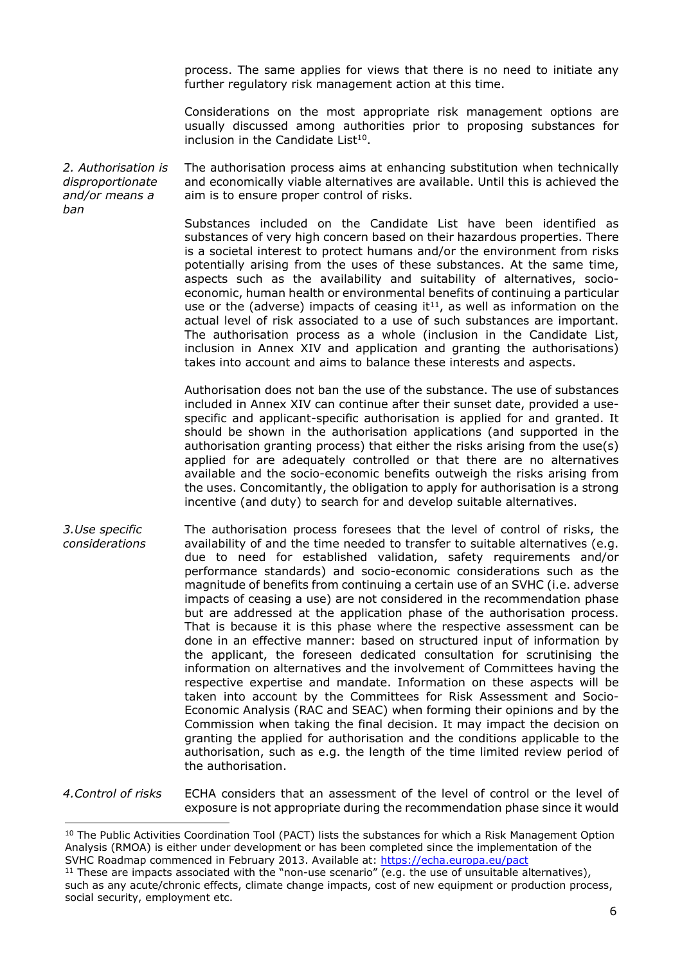process. The same applies for views that there is no need to initiate any further regulatory risk management action at this time.

Considerations on the most appropriate risk management options are usually discussed among authorities prior to proposing substances for inclusion in the Candidate List $10$ .

*2. Authorisation is disproportionate and/or means a ban* The authorisation process aims at enhancing substitution when technically and economically viable alternatives are available. Until this is achieved the aim is to ensure proper control of risks.

> Substances included on the Candidate List have been identified as substances of very high concern based on their hazardous properties. There is a societal interest to protect humans and/or the environment from risks potentially arising from the uses of these substances. At the same time, aspects such as the availability and suitability of alternatives, socioeconomic, human health or environmental benefits of continuing a particular use or the (adverse) impacts of ceasing it<sup>11</sup>, as well as information on the actual level of risk associated to a use of such substances are important. The authorisation process as a whole (inclusion in the Candidate List, inclusion in Annex XIV and application and granting the authorisations) takes into account and aims to balance these interests and aspects.

> Authorisation does not ban the use of the substance. The use of substances included in Annex XIV can continue after their sunset date, provided a usespecific and applicant-specific authorisation is applied for and granted. It should be shown in the authorisation applications (and supported in the authorisation granting process) that either the risks arising from the use(s) applied for are adequately controlled or that there are no alternatives available and the socio-economic benefits outweigh the risks arising from the uses. Concomitantly, the obligation to apply for authorisation is a strong incentive (and duty) to search for and develop suitable alternatives.

*3.Use specific considerations*  The authorisation process foresees that the level of control of risks, the availability of and the time needed to transfer to suitable alternatives (e.g. due to need for established validation, safety requirements and/or performance standards) and socio-economic considerations such as the magnitude of benefits from continuing a certain use of an SVHC (i.e. adverse impacts of ceasing a use) are not considered in the recommendation phase but are addressed at the application phase of the authorisation process. That is because it is this phase where the respective assessment can be done in an effective manner: based on structured input of information by the applicant, the foreseen dedicated consultation for scrutinising the information on alternatives and the involvement of Committees having the respective expertise and mandate. Information on these aspects will be taken into account by the Committees for Risk Assessment and Socio-Economic Analysis (RAC and SEAC) when forming their opinions and by the Commission when taking the final decision. It may impact the decision on granting the applied for authorisation and the conditions applicable to the authorisation, such as e.g. the length of the time limited review period of the authorisation.

*4.Control of risks* ECHA considers that an assessment of the level of control or the level of exposure is not appropriate during the recommendation phase since it would

<sup>&</sup>lt;sup>10</sup> The Public Activities Coordination Tool (PACT) lists the substances for which a Risk Management Option Analysis (RMOA) is either under development or has been completed since the implementation of the SVHC Roadmap commenced in February 2013. Available at: <https://echa.europa.eu/pact>

<sup>&</sup>lt;sup>11</sup> These are impacts associated with the "non-use scenario" (e.g. the use of unsuitable alternatives), such as any acute/chronic effects, climate change impacts, cost of new equipment or production process, social security, employment etc.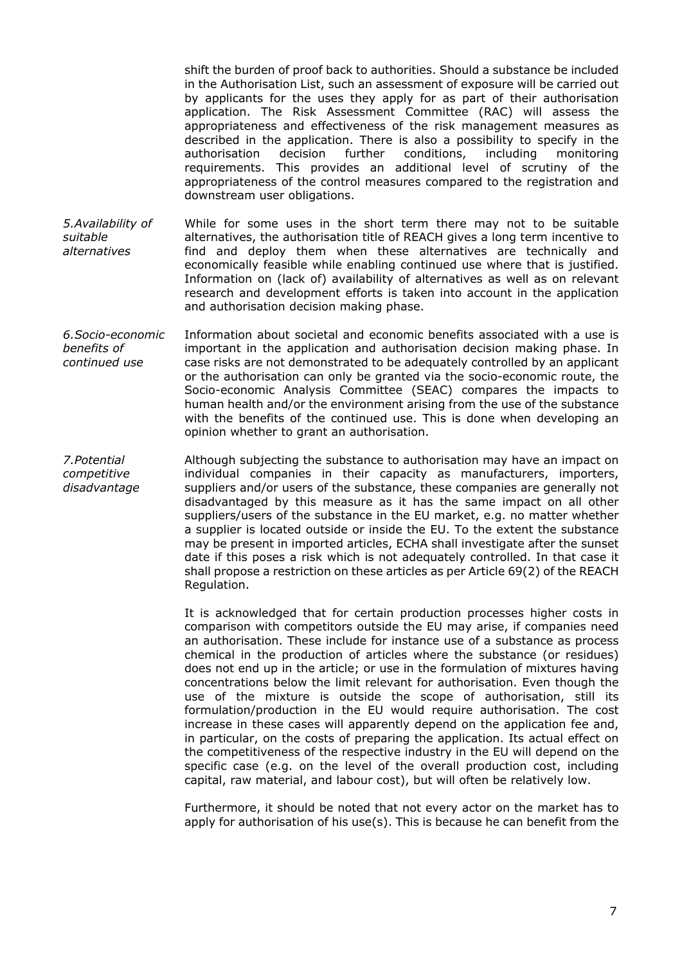shift the burden of proof back to authorities. Should a substance be included in the Authorisation List, such an assessment of exposure will be carried out by applicants for the uses they apply for as part of their authorisation application. The Risk Assessment Committee (RAC) will assess the appropriateness and effectiveness of the risk management measures as described in the application. There is also a possibility to specify in the authorisation decision further conditions, including monitoring requirements. This provides an additional level of scrutiny of the appropriateness of the control measures compared to the registration and downstream user obligations.

*5.Availability of suitable alternatives* While for some uses in the short term there may not to be suitable alternatives, the authorisation title of REACH gives a long term incentive to find and deploy them when these alternatives are technically and economically feasible while enabling continued use where that is justified. Information on (lack of) availability of alternatives as well as on relevant research and development efforts is taken into account in the application and authorisation decision making phase.

*6.Socio-economic benefits of continued use* Information about societal and economic benefits associated with a use is important in the application and authorisation decision making phase. In case risks are not demonstrated to be adequately controlled by an applicant or the authorisation can only be granted via the socio-economic route, the Socio-economic Analysis Committee (SEAC) compares the impacts to human health and/or the environment arising from the use of the substance with the benefits of the continued use. This is done when developing an opinion whether to grant an authorisation.

*7.Potential competitive disadvantage* Although subjecting the substance to authorisation may have an impact on individual companies in their capacity as manufacturers, importers, suppliers and/or users of the substance, these companies are generally not disadvantaged by this measure as it has the same impact on all other suppliers/users of the substance in the EU market, e.g. no matter whether a supplier is located outside or inside the EU. To the extent the substance may be present in imported articles, ECHA shall investigate after the sunset date if this poses a risk which is not adequately controlled. In that case it shall propose a restriction on these articles as per Article 69(2) of the REACH Regulation.

> It is acknowledged that for certain production processes higher costs in comparison with competitors outside the EU may arise, if companies need an authorisation. These include for instance use of a substance as process chemical in the production of articles where the substance (or residues) does not end up in the article; or use in the formulation of mixtures having concentrations below the limit relevant for authorisation. Even though the use of the mixture is outside the scope of authorisation, still its formulation/production in the EU would require authorisation. The cost increase in these cases will apparently depend on the application fee and, in particular, on the costs of preparing the application. Its actual effect on the competitiveness of the respective industry in the EU will depend on the specific case (e.g. on the level of the overall production cost, including capital, raw material, and labour cost), but will often be relatively low.

> Furthermore, it should be noted that not every actor on the market has to apply for authorisation of his use(s). This is because he can benefit from the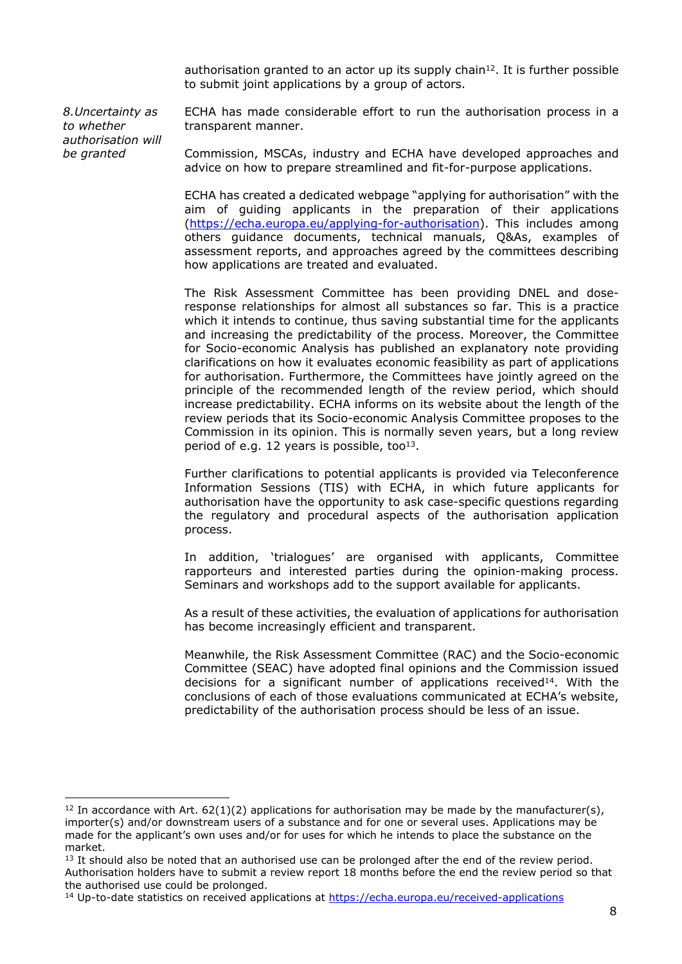authorisation granted to an actor up its supply chain<sup>12</sup>. It is further possible to submit joint applications by a group of actors.

*8.Uncertainty as to whether authorisation will be granted*

ECHA has made considerable effort to run the authorisation process in a transparent manner.

Commission, MSCAs, industry and ECHA have developed approaches and advice on how to prepare streamlined and fit-for-purpose applications.

ECHA has created a dedicated webpage "applying for authorisation" with the aim of guiding applicants in the preparation of their applications ([https://echa.europa.eu/applying-for-authorisation\)](https://echa.europa.eu/applying-for-authorisation). This includes among others guidance documents, technical manuals, Q&As, examples of assessment reports, and approaches agreed by the committees describing how applications are treated and evaluated.

The Risk Assessment Committee has been providing DNEL and doseresponse relationships for almost all substances so far. This is a practice which it intends to continue, thus saving substantial time for the applicants and increasing the predictability of the process. Moreover, the Committee for Socio-economic Analysis has published an explanatory note providing clarifications on how it evaluates economic feasibility as part of applications for authorisation. Furthermore, the Committees have jointly agreed on the principle of the recommended length of the review period, which should increase predictability. ECHA informs on its website about the length of the review periods that its Socio-economic Analysis Committee proposes to the Commission in its opinion. This is normally seven years, but a long review period of e.g. 12 years is possible, too $13$ .

Further clarifications to potential applicants is provided via Teleconference Information Sessions (TIS) with ECHA, in which future applicants for authorisation have the opportunity to ask case-specific questions regarding the regulatory and procedural aspects of the authorisation application process.

In addition, 'trialogues' are organised with applicants, Committee rapporteurs and interested parties during the opinion-making process. Seminars and workshops add to the support available for applicants.

As a result of these activities, the evaluation of applications for authorisation has become increasingly efficient and transparent.

Meanwhile, the Risk Assessment Committee (RAC) and the Socio-economic Committee (SEAC) have adopted final opinions and the Commission issued decisions for a significant number of applications received $14$ . With the conclusions of each of those evaluations communicated at ECHA's website, predictability of the authorisation process should be less of an issue.

<sup>&</sup>lt;sup>12</sup> In accordance with Art.  $62(1)(2)$  applications for authorisation may be made by the manufacturer(s), importer(s) and/or downstream users of a substance and for one or several uses. Applications may be made for the applicant's own uses and/or for uses for which he intends to place the substance on the market.

<sup>&</sup>lt;sup>13</sup> It should also be noted that an authorised use can be prolonged after the end of the review period. Authorisation holders have to submit a review report 18 months before the end the review period so that the authorised use could be prolonged.

<sup>14</sup> Up-to-date statistics on received applications at<https://echa.europa.eu/received-applications>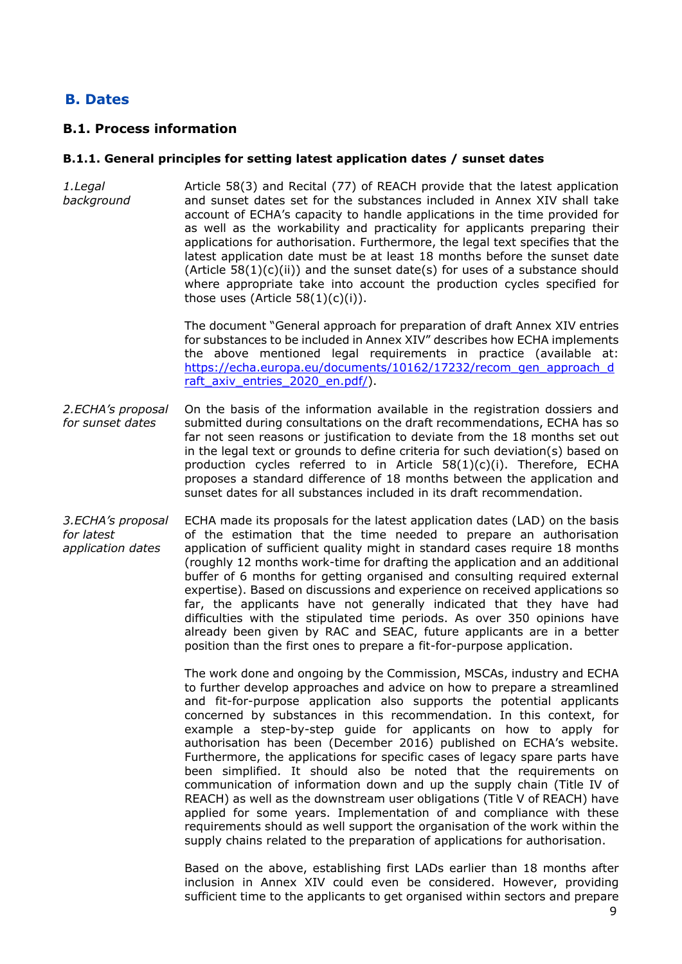# **B. Dates**

## **B.1. Process information**

### **B.1.1. General principles for setting latest application dates / sunset dates**

*1.Legal background* Article 58(3) and Recital (77) of REACH provide that the latest application and sunset dates set for the substances included in Annex XIV shall take account of ECHA's capacity to handle applications in the time provided for as well as the workability and practicality for applicants preparing their applications for authorisation. Furthermore, the legal text specifies that the latest application date must be at least 18 months before the sunset date  $(A$ rticle 58 $(1)(c)(ii)$  and the sunset date(s) for uses of a substance should where appropriate take into account the production cycles specified for those uses (Article  $58(1)(c)(i)$ ).

> The document "General approach for preparation of draft Annex XIV entries for substances to be included in Annex XIV" describes how ECHA implements the above mentioned legal requirements in practice (available at: [https://echa.europa.eu/documents/10162/17232/recom\\_gen\\_approach\\_d](https://echa.europa.eu/documents/10162/17232/recom_gen_approach_draft_axiv_entries_2020_en.pdf/) [raft\\_axiv\\_entries\\_2020\\_en.pdf/](https://echa.europa.eu/documents/10162/17232/recom_gen_approach_draft_axiv_entries_2020_en.pdf/)).

- *2.ECHA's proposal for sunset dates* On the basis of the information available in the registration dossiers and submitted during consultations on the draft recommendations, ECHA has so far not seen reasons or justification to deviate from the 18 months set out in the legal text or grounds to define criteria for such deviation(s) based on production cycles referred to in Article  $58(1)(c)(i)$ . Therefore, ECHA proposes a standard difference of 18 months between the application and sunset dates for all substances included in its draft recommendation.
- *3.ECHA's proposal for latest application dates* ECHA made its proposals for the latest application dates (LAD) on the basis of the estimation that the time needed to prepare an authorisation application of sufficient quality might in standard cases require 18 months (roughly 12 months work-time for drafting the application and an additional buffer of 6 months for getting organised and consulting required external expertise). Based on discussions and experience on received applications so far, the applicants have not generally indicated that they have had difficulties with the stipulated time periods. As over 350 opinions have already been given by RAC and SEAC, future applicants are in a better position than the first ones to prepare a fit-for-purpose application.

The work done and ongoing by the Commission, MSCAs, industry and ECHA to further develop approaches and advice on how to prepare a streamlined and fit-for-purpose application also supports the potential applicants concerned by substances in this recommendation. In this context, for example a step-by-step guide for applicants on how to apply for authorisation has been (December 2016) published on ECHA's website. Furthermore, the applications for specific cases of legacy spare parts have been simplified. It should also be noted that the requirements on communication of information down and up the supply chain (Title IV of REACH) as well as the downstream user obligations (Title V of REACH) have applied for some years. Implementation of and compliance with these requirements should as well support the organisation of the work within the supply chains related to the preparation of applications for authorisation.

Based on the above, establishing first LADs earlier than 18 months after inclusion in Annex XIV could even be considered. However, providing sufficient time to the applicants to get organised within sectors and prepare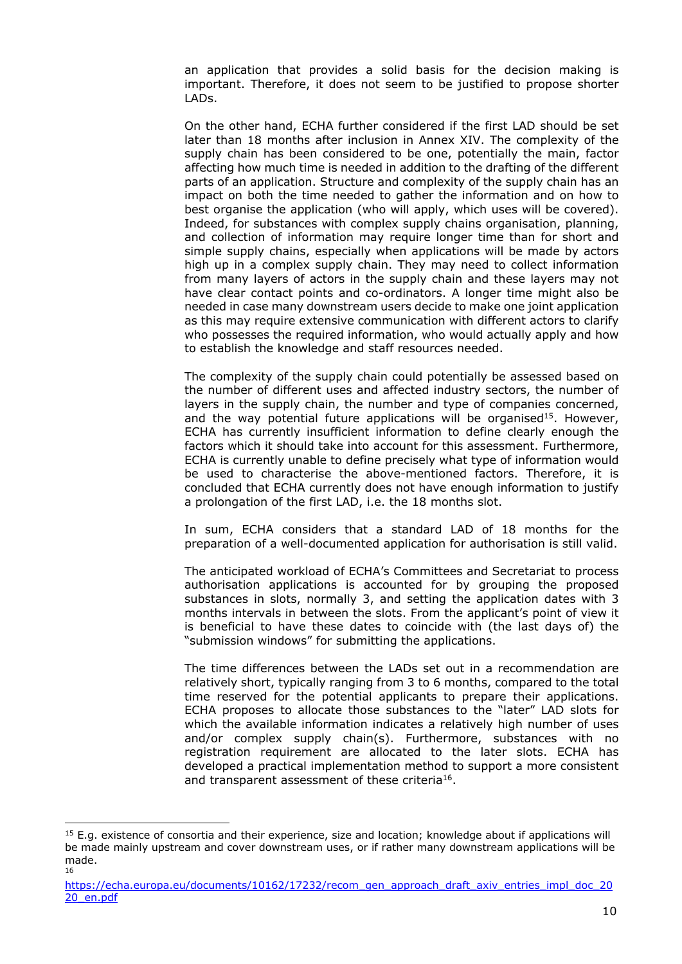an application that provides a solid basis for the decision making is important. Therefore, it does not seem to be justified to propose shorter LADs.

On the other hand, ECHA further considered if the first LAD should be set later than 18 months after inclusion in Annex XIV. The complexity of the supply chain has been considered to be one, potentially the main, factor affecting how much time is needed in addition to the drafting of the different parts of an application. Structure and complexity of the supply chain has an impact on both the time needed to gather the information and on how to best organise the application (who will apply, which uses will be covered). Indeed, for substances with complex supply chains organisation, planning, and collection of information may require longer time than for short and simple supply chains, especially when applications will be made by actors high up in a complex supply chain. They may need to collect information from many layers of actors in the supply chain and these layers may not have clear contact points and co-ordinators. A longer time might also be needed in case many downstream users decide to make one joint application as this may require extensive communication with different actors to clarify who possesses the required information, who would actually apply and how to establish the knowledge and staff resources needed.

The complexity of the supply chain could potentially be assessed based on the number of different uses and affected industry sectors, the number of layers in the supply chain, the number and type of companies concerned, and the way potential future applications will be organised<sup>15</sup>. However, ECHA has currently insufficient information to define clearly enough the factors which it should take into account for this assessment. Furthermore, ECHA is currently unable to define precisely what type of information would be used to characterise the above-mentioned factors. Therefore, it is concluded that ECHA currently does not have enough information to justify a prolongation of the first LAD, i.e. the 18 months slot.

In sum, ECHA considers that a standard LAD of 18 months for the preparation of a well-documented application for authorisation is still valid.

The anticipated workload of ECHA's Committees and Secretariat to process authorisation applications is accounted for by grouping the proposed substances in slots, normally 3, and setting the application dates with 3 months intervals in between the slots. From the applicant's point of view it is beneficial to have these dates to coincide with (the last days of) the "submission windows" for submitting the applications.

The time differences between the LADs set out in a recommendation are relatively short, typically ranging from 3 to 6 months, compared to the total time reserved for the potential applicants to prepare their applications. ECHA proposes to allocate those substances to the "later" LAD slots for which the available information indicates a relatively high number of uses and/or complex supply chain(s). Furthermore, substances with no registration requirement are allocated to the later slots. ECHA has developed a practical implementation method to support a more consistent and transparent assessment of these criteria<sup>16</sup>.

 $15$  E.g. existence of consortia and their experience, size and location; knowledge about if applications will be made mainly upstream and cover downstream uses, or if rather many downstream applications will be made. 16

[https://echa.europa.eu/documents/10162/17232/recom\\_gen\\_approach\\_draft\\_axiv\\_entries\\_impl\\_doc\\_20](https://echa.europa.eu/documents/10162/17232/recom_gen_approach_draft_axiv_entries_impl_doc_2020_en.pdf) [20\\_en.pdf](https://echa.europa.eu/documents/10162/17232/recom_gen_approach_draft_axiv_entries_impl_doc_2020_en.pdf)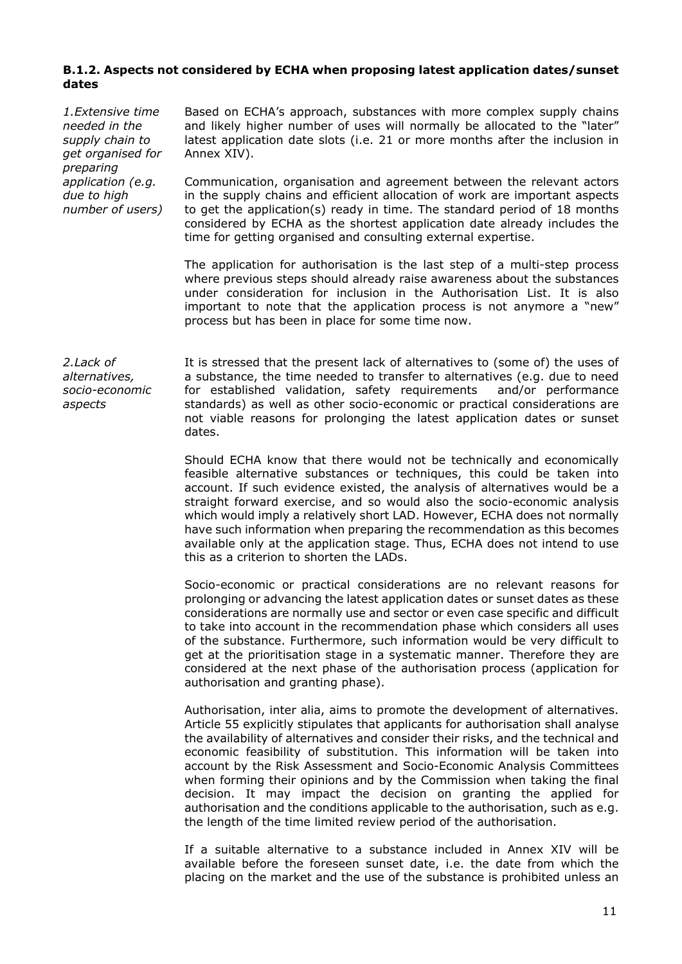### **B.1.2. Aspects not considered by ECHA when proposing latest application dates/sunset dates**

*1.Extensive time needed in the supply chain to get organised for preparing application (e.g. due to high number of users)* Based on ECHA's approach, substances with more complex supply chains and likely higher number of uses will normally be allocated to the "later" latest application date slots (i.e. 21 or more months after the inclusion in Annex XIV).

Communication, organisation and agreement between the relevant actors in the supply chains and efficient allocation of work are important aspects to get the application(s) ready in time. The standard period of 18 months considered by ECHA as the shortest application date already includes the time for getting organised and consulting external expertise.

The application for authorisation is the last step of a multi-step process where previous steps should already raise awareness about the substances under consideration for inclusion in the Authorisation List. It is also important to note that the application process is not anymore a "new" process but has been in place for some time now.

*2.Lack of alternatives, socio-economic aspects*

It is stressed that the present lack of alternatives to (some of) the uses of a substance, the time needed to transfer to alternatives (e.g. due to need for established validation, safety requirements and/or performance standards) as well as other socio-economic or practical considerations are not viable reasons for prolonging the latest application dates or sunset dates.

Should ECHA know that there would not be technically and economically feasible alternative substances or techniques, this could be taken into account. If such evidence existed, the analysis of alternatives would be a straight forward exercise, and so would also the socio-economic analysis which would imply a relatively short LAD. However, ECHA does not normally have such information when preparing the recommendation as this becomes available only at the application stage. Thus, ECHA does not intend to use this as a criterion to shorten the LADs.

Socio-economic or practical considerations are no relevant reasons for prolonging or advancing the latest application dates or sunset dates as these considerations are normally use and sector or even case specific and difficult to take into account in the recommendation phase which considers all uses of the substance. Furthermore, such information would be very difficult to get at the prioritisation stage in a systematic manner. Therefore they are considered at the next phase of the authorisation process (application for authorisation and granting phase).

Authorisation, inter alia, aims to promote the development of alternatives. Article 55 explicitly stipulates that applicants for authorisation shall analyse the availability of alternatives and consider their risks, and the technical and economic feasibility of substitution. This information will be taken into account by the Risk Assessment and Socio-Economic Analysis Committees when forming their opinions and by the Commission when taking the final decision. It may impact the decision on granting the applied for authorisation and the conditions applicable to the authorisation, such as e.g. the length of the time limited review period of the authorisation.

If a suitable alternative to a substance included in Annex XIV will be available before the foreseen sunset date, i.e. the date from which the placing on the market and the use of the substance is prohibited unless an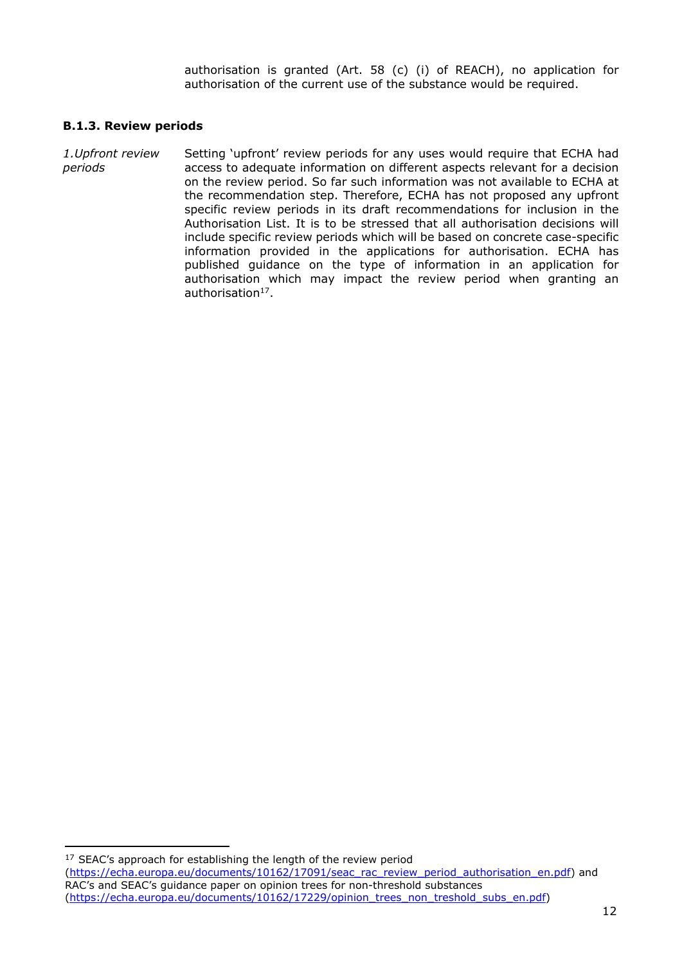authorisation is granted (Art. 58 (c) (i) of REACH), no application for authorisation of the current use of the substance would be required.

### **B.1.3. Review periods**

*1.Upfront review periods* Setting 'upfront' review periods for any uses would require that ECHA had access to adequate information on different aspects relevant for a decision on the review period. So far such information was not available to ECHA at the recommendation step. Therefore, ECHA has not proposed any upfront specific review periods in its draft recommendations for inclusion in the Authorisation List. It is to be stressed that all authorisation decisions will include specific review periods which will be based on concrete case-specific information provided in the applications for authorisation. ECHA has published guidance on the type of information in an application for authorisation which may impact the review period when granting an authorisation<sup>17</sup>.

<sup>17</sup> SEAC's approach for establishing the length of the review period ([https://echa.europa.eu/documents/10162/17091/seac\\_rac\\_review\\_period\\_authorisation\\_en.pdf](https://echa.europa.eu/documents/10162/17091/seac_rac_review_period_authorisation_en.pdf)) and RAC's and SEAC's guidance paper on opinion trees for non-threshold substances ([https://echa.europa.eu/documents/10162/17229/opinion\\_trees\\_non\\_treshold\\_subs\\_en.pdf\)](https://echa.europa.eu/documents/10162/17229/opinion_trees_non_treshold_subs_en.pdf)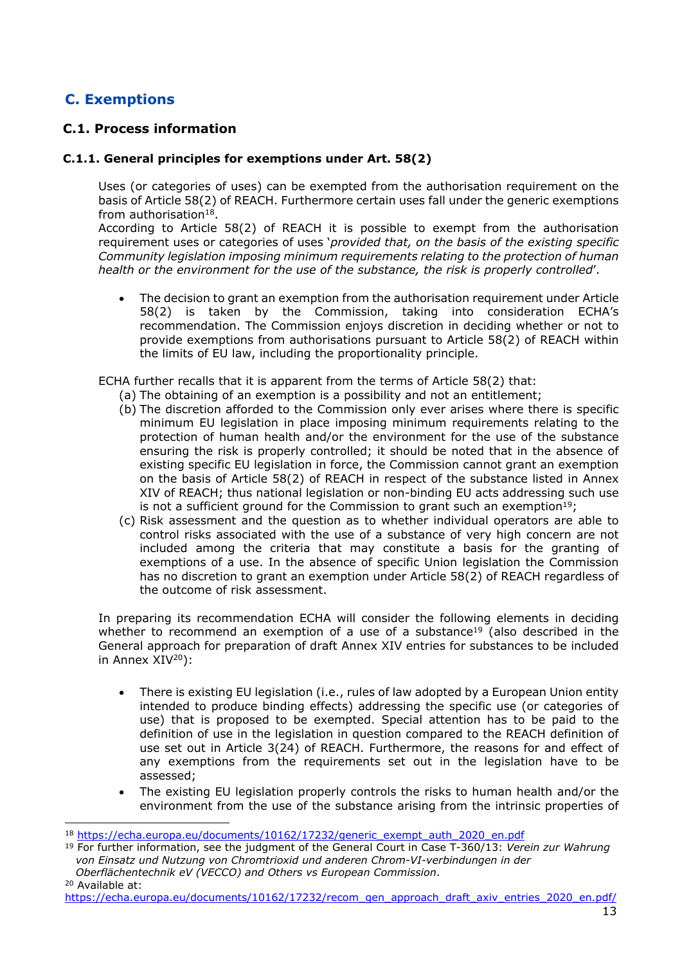# **C. Exemptions**

# **C.1. Process information**

### **C.1.1. General principles for exemptions under Art. 58(2)**

Uses (or categories of uses) can be exempted from the authorisation requirement on the basis of Article 58(2) of REACH. Furthermore certain uses fall under the generic exemptions from authorisation $18$ .

<span id="page-12-1"></span>According to Article 58(2) of REACH it is possible to exempt from the authorisation requirement uses or categories of uses '*provided that, on the basis of the existing specific Community legislation imposing minimum requirements relating to the protection of human health or the environment for the use of the substance, the risk is properly controlled*'.

 The decision to grant an exemption from the authorisation requirement under Article 58(2) is taken by the Commission, taking into consideration ECHA's recommendation. The Commission enjoys discretion in deciding whether or not to provide exemptions from authorisations pursuant to Article 58(2) of REACH within the limits of EU law, including the proportionality principle.

ECHA further recalls that it is apparent from the terms of Article 58(2) that:

- (a) The obtaining of an exemption is a possibility and not an entitlement;
- (b) The discretion afforded to the Commission only ever arises where there is specific minimum EU legislation in place imposing minimum requirements relating to the protection of human health and/or the environment for the use of the substance ensuring the risk is properly controlled; it should be noted that in the absence of existing specific EU legislation in force, the Commission cannot grant an exemption on the basis of Article 58(2) of REACH in respect of the substance listed in Annex XIV of REACH; thus national legislation or non-binding EU acts addressing such use is not a sufficient ground for the Commission to grant such an exemption<sup>[19](#page-12-0)</sup>;
- (c) Risk assessment and the question as to whether individual operators are able to control risks associated with the use of a substance of very high concern are not included among the criteria that may constitute a basis for the granting of exemptions of a use. In the absence of specific Union legislation the Commission has no discretion to grant an exemption under Article 58(2) of REACH regardless of the outcome of risk assessment.

In preparing its recommendation ECHA will consider the following elements in deciding whether to recommend an exemption of a use of a substance<sup>19</sup> (also described in the General approach for preparation of draft Annex XIV entries for substances to be included in Annex XIV<sup>20</sup>):

- <span id="page-12-0"></span> There is existing EU legislation (i.e., rules of law adopted by a European Union entity intended to produce binding effects) addressing the specific use (or categories of use) that is proposed to be exempted. Special attention has to be paid to the definition of use in the legislation in question compared to the REACH definition of use set out in Article 3(24) of REACH. Furthermore, the reasons for and effect of any exemptions from the requirements set out in the legislation have to be assessed;
- The existing EU legislation properly controls the risks to human health and/or the environment from the use of the substance arising from the intrinsic properties of

<sup>18</sup> [https://echa.europa.eu/documents/10162/17232/generic\\_exempt\\_auth\\_2020\\_en.pdf](https://echa.europa.eu/documents/10162/17232/generic_exempt_auth_2020_en.pdf)

<sup>19</sup> For further information, see the judgment of the General Court in Case T-360/13: *Verein zur Wahrung von Einsatz und Nutzung von Chromtrioxid und anderen Chrom-VI-verbindungen in der Oberflächentechnik eV (VECCO) and Others vs European Commission*.

<sup>20</sup> Available at:

[https://echa.europa.eu/documents/10162/17232/recom\\_gen\\_approach\\_draft\\_axiv\\_entries\\_2020\\_en.pdf/](https://echa.europa.eu/documents/10162/17232/recom_gen_approach_draft_axiv_entries_2020_en.pdf/)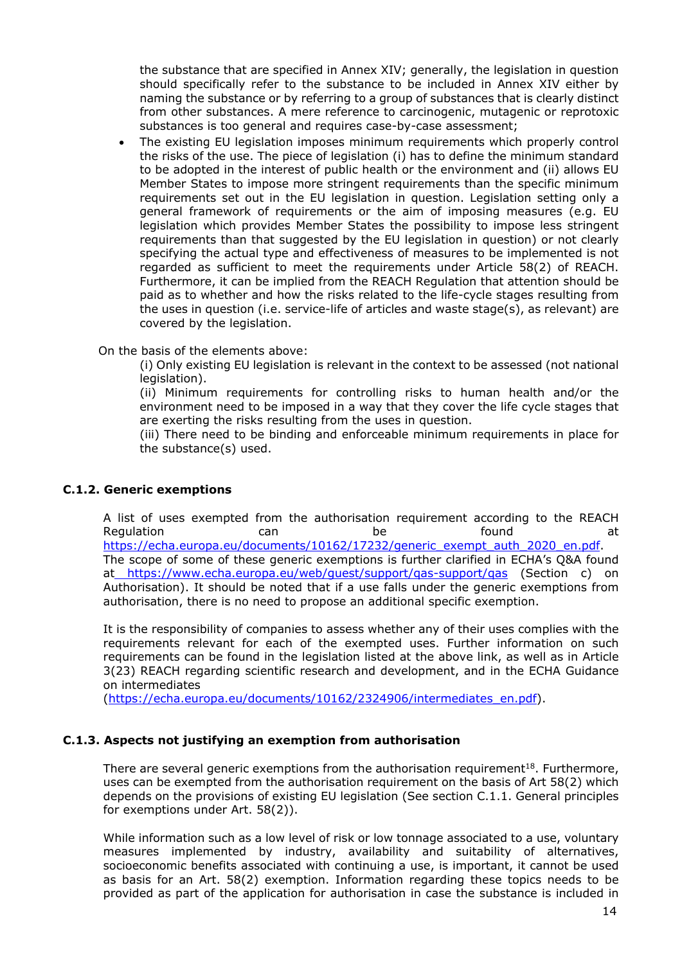the substance that are specified in Annex XIV; generally, the legislation in question should specifically refer to the substance to be included in Annex XIV either by naming the substance or by referring to a group of substances that is clearly distinct from other substances. A mere reference to carcinogenic, mutagenic or reprotoxic substances is too general and requires case-by-case assessment;

 The existing EU legislation imposes minimum requirements which properly control the risks of the use. The piece of legislation (i) has to define the minimum standard to be adopted in the interest of public health or the environment and (ii) allows EU Member States to impose more stringent requirements than the specific minimum requirements set out in the EU legislation in question. Legislation setting only a general framework of requirements or the aim of imposing measures (e.g. EU legislation which provides Member States the possibility to impose less stringent requirements than that suggested by the EU legislation in question) or not clearly specifying the actual type and effectiveness of measures to be implemented is not regarded as sufficient to meet the requirements under Article 58(2) of REACH. Furthermore, it can be implied from the REACH Regulation that attention should be paid as to whether and how the risks related to the life-cycle stages resulting from the uses in question (i.e. service-life of articles and waste stage(s), as relevant) are covered by the legislation.

On the basis of the elements above:

(i) Only existing EU legislation is relevant in the context to be assessed (not national legislation).

(ii) Minimum requirements for controlling risks to human health and/or the environment need to be imposed in a way that they cover the life cycle stages that are exerting the risks resulting from the uses in question.

(iii) There need to be binding and enforceable minimum requirements in place for the substance(s) used.

### **C.1.2. Generic exemptions**

A list of uses exempted from the authorisation requirement according to the REACH Regulation **can** can be found at [https://echa.europa.eu/documents/10162/17232/generic\\_exempt\\_auth\\_2020\\_en.pdf.](https://echa.europa.eu/documents/10162/17232/generic_exempt_auth_2020_en.pdf) The scope of some of these generic exemptions is further clarified in ECHA's Q&A found at <https://www.echa.europa.eu/web/guest/support/qas-support/qas> (Section c) on Authorisation). It should be noted that if a use falls under the generic exemptions from authorisation, there is no need to propose an additional specific exemption.

It is the responsibility of companies to assess whether any of their uses complies with the requirements relevant for each of the exempted uses. Further information on such requirements can be found in the legislation listed at the above link, as well as in Article 3(23) REACH regarding scientific research and development, and in the ECHA Guidance on intermediates

([https://echa.europa.eu/documents/10162/2324906/intermediates\\_en.pdf\)](https://echa.europa.eu/documents/10162/2324906/intermediates_en.pdf).

## **C.1.3. Aspects not justifying an exemption from authorisation**

There are several generic exemptions from the authorisation requirement<sup>[18](#page-12-1)</sup>. Furthermore, uses can be exempted from the authorisation requirement on the basis of Art 58(2) which depends on the provisions of existing EU legislation (See section C.1.1. General principles for exemptions under Art. 58(2)).

While information such as a low level of risk or low tonnage associated to a use, voluntary measures implemented by industry, availability and suitability of alternatives, socioeconomic benefits associated with continuing a use, is important, it cannot be used as basis for an Art. 58(2) exemption. Information regarding these topics needs to be provided as part of the application for authorisation in case the substance is included in